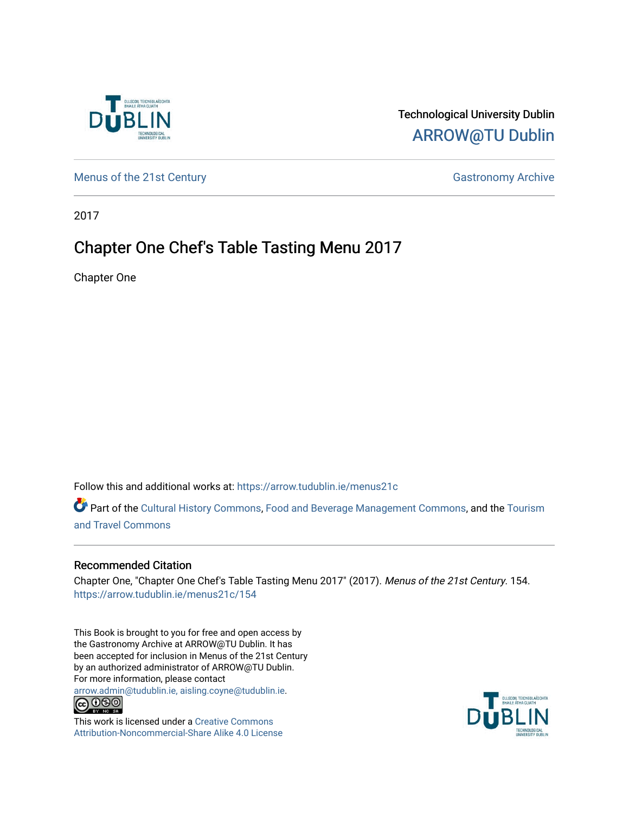

### Technological University Dublin [ARROW@TU Dublin](https://arrow.tudublin.ie/)

[Menus of the 21st Century](https://arrow.tudublin.ie/menus21c) Gastronomy Archive

2017

# Chapter One Chef's Table Tasting Menu 2017

Chapter One

Follow this and additional works at: [https://arrow.tudublin.ie/menus21c](https://arrow.tudublin.ie/menus21c?utm_source=arrow.tudublin.ie%2Fmenus21c%2F154&utm_medium=PDF&utm_campaign=PDFCoverPages) 

Part of the [Cultural History Commons](http://network.bepress.com/hgg/discipline/496?utm_source=arrow.tudublin.ie%2Fmenus21c%2F154&utm_medium=PDF&utm_campaign=PDFCoverPages), [Food and Beverage Management Commons,](http://network.bepress.com/hgg/discipline/1089?utm_source=arrow.tudublin.ie%2Fmenus21c%2F154&utm_medium=PDF&utm_campaign=PDFCoverPages) and the [Tourism](http://network.bepress.com/hgg/discipline/1082?utm_source=arrow.tudublin.ie%2Fmenus21c%2F154&utm_medium=PDF&utm_campaign=PDFCoverPages) [and Travel Commons](http://network.bepress.com/hgg/discipline/1082?utm_source=arrow.tudublin.ie%2Fmenus21c%2F154&utm_medium=PDF&utm_campaign=PDFCoverPages)

### Recommended Citation

Chapter One, "Chapter One Chef's Table Tasting Menu 2017" (2017). Menus of the 21st Century. 154. [https://arrow.tudublin.ie/menus21c/154](https://arrow.tudublin.ie/menus21c/154?utm_source=arrow.tudublin.ie%2Fmenus21c%2F154&utm_medium=PDF&utm_campaign=PDFCoverPages) 

This Book is brought to you for free and open access by the Gastronomy Archive at ARROW@TU Dublin. It has been accepted for inclusion in Menus of the 21st Century by an authorized administrator of ARROW@TU Dublin. For more information, please contact

[arrow.admin@tudublin.ie, aisling.coyne@tudublin.ie](mailto:arrow.admin@tudublin.ie,%20aisling.coyne@tudublin.ie).<br>
co 060



This work is licensed under a [Creative Commons](http://creativecommons.org/licenses/by-nc-sa/4.0/) [Attribution-Noncommercial-Share Alike 4.0 License](http://creativecommons.org/licenses/by-nc-sa/4.0/)

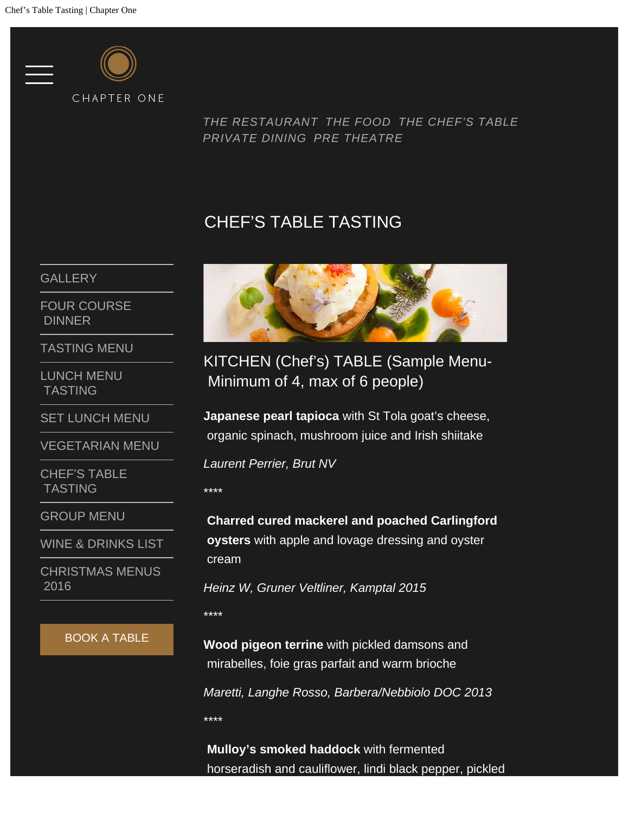

*[THE RESTAURANT](http://www.chapteronerestaurant.com/the-restaurant/) [THE FOOD](http://www.chapteronerestaurant.com/the-food/) [THE CHEF'S TABLE](http://www.chapteronerestaurant.com/chefs-table/) [PRIVATE DINING](http://www.chapteronerestaurant.com/menus/chefs-table-tasting/#) [PRE THEATRE](http://www.chapteronerestaurant.com/pre-theatre-lunch/)*

## CHEF'S TABLE TASTING

**[GALLERY](http://www.chapteronerestaurant.com/the-food/)** 

[FOUR COURSE](http://www.chapteronerestaurant.com/menus/four-course-dinner/)  [DINNER](http://www.chapteronerestaurant.com/menus/four-course-dinner/)

[TASTING MENU](http://www.chapteronerestaurant.com/menus/tasting-menu/)

[LUNCH MENU](http://www.chapteronerestaurant.com/menus/lunch-menu/)  [TASTING](http://www.chapteronerestaurant.com/menus/lunch-menu/)

[SET LUNCH MENU](http://www.chapteronerestaurant.com/menus/set-lunch-menu/)

[VEGETARIAN MENU](http://www.chapteronerestaurant.com/menus/vegetarian-menu/)

[CHEF'S TABLE](http://www.chapteronerestaurant.com/menus/chefs-table-tasting/)  [TASTING](http://www.chapteronerestaurant.com/menus/chefs-table-tasting/)

[GROUP MENU](http://www.chapteronerestaurant.com/menus/group-menu/)

[WINE & DRINKS LIST](http://www.chapteronerestaurant.com/menus/wine-list/)

[CHRISTMAS MENUS](http://www.chapteronerestaurant.com/menus/christmas-menus/)  [2016](http://www.chapteronerestaurant.com/menus/christmas-menus/)

#### BOOK A TABLE



KITCHEN (Chef's) TABLE (Sample Menu- Minimum of 4, max of 6 people)

**Japanese pearl tapioca** with St Tola goat's cheese, organic spinach, mushroom juice and Irish shiitake

*Laurent Perrier, Brut NV*

\*\*\*\*

**Charred cured mackerel and poached Carlingford oysters** with apple and lovage dressing and oyster cream

*Heinz W, Gruner Veltliner, Kamptal 2015*

\*\*\*\*

\*\*\*\*

**Wood pigeon terrine** with pickled damsons and mirabelles, foie gras parfait and warm brioche

*Maretti, Langhe Rosso, Barbera/Nebbiolo DOC 2013*

**Mulloy's smoked haddock** with fermented horseradish and cauliflower, lindi black pepper, pickled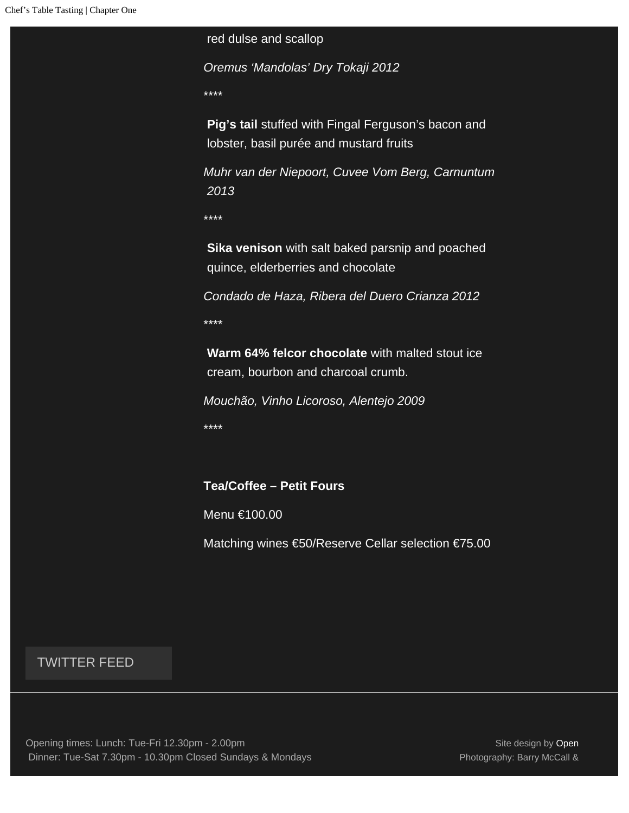red dulse and scallop

*Oremus 'Mandolas' Dry Tokaji 2012*

\*\*\*\*

**Pig's tail** stuffed with Fingal Ferguson's bacon and lobster, basil purée and mustard fruits

*Muhr van der Niepoort, Cuvee Vom Berg, Carnuntum 2013*

\*\*\*\*

**Sika venison** with salt baked parsnip and poached quince, elderberries and chocolate

*Condado de Haza, Ribera del Duero Crianza 2012* \*\*\*\*

**Warm 64% felcor chocolate** with malted stout ice cream, bourbon and charcoal crumb.

*Mouchão, Vinho Licoroso, Alentejo 2009*

\*\*\*\*

### **Tea/Coffee – Petit Fours**

Menu €100.00

Matching wines €50/Reserve Cellar selection €75.00

### TWITTER FEED